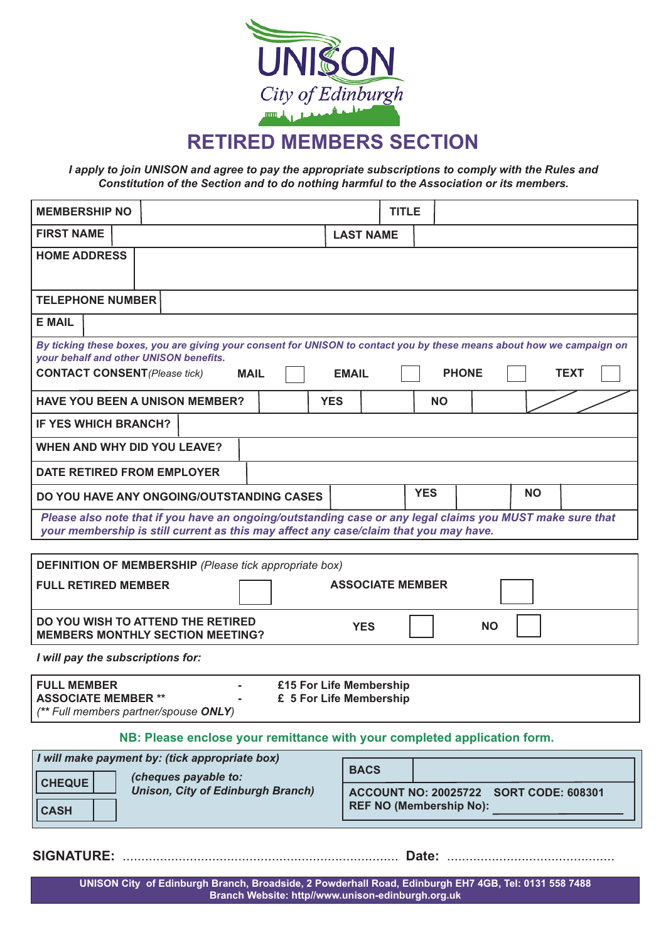

**RETIRED MEMBERS SECTION**

*I apply to join UNISON and agree to pay the appropriate subscriptions to comply with the Rules and Constitution of the Section and to do nothing harmful to the Association or its members.*

| <b>MEMBERSHIP NO</b>                                                                                                                                                                               |                                                    | <b>TITLE</b>            |              |           |           |             |
|----------------------------------------------------------------------------------------------------------------------------------------------------------------------------------------------------|----------------------------------------------------|-------------------------|--------------|-----------|-----------|-------------|
| <b>FIRST NAME</b>                                                                                                                                                                                  | <b>LAST NAME</b>                                   |                         |              |           |           |             |
| <b>HOME ADDRESS</b>                                                                                                                                                                                |                                                    |                         |              |           |           |             |
| <b>TELEPHONE NUMBER</b>                                                                                                                                                                            |                                                    |                         |              |           |           |             |
| <b>E MAIL</b>                                                                                                                                                                                      |                                                    |                         |              |           |           |             |
| By ticking these boxes, you are giving your consent for UNISON to contact you by these means about how we campaign on<br>your behalf and other UNISON benefits.                                    |                                                    |                         |              |           |           |             |
| <b>CONTACT CONSENT</b> (Please tick)<br><b>MAIL</b>                                                                                                                                                | <b>EMAIL</b>                                       |                         | <b>PHONE</b> |           |           | <b>TEXT</b> |
| <b>HAVE YOU BEEN A UNISON MEMBER?</b>                                                                                                                                                              | <b>YES</b>                                         |                         | <b>NO</b>    |           |           |             |
| <b>IF YES WHICH BRANCH?</b>                                                                                                                                                                        |                                                    |                         |              |           |           |             |
| <b>WHEN AND WHY DID YOU LEAVE?</b>                                                                                                                                                                 |                                                    |                         |              |           |           |             |
| DATE RETIRED FROM EMPLOYER                                                                                                                                                                         |                                                    |                         |              |           |           |             |
| DO YOU HAVE ANY ONGOING/OUTSTANDING CASES                                                                                                                                                          |                                                    | <b>YES</b>              |              |           | <b>NO</b> |             |
| Please also note that if you have an ongoing/outstanding case or any legal claims you MUST make sure that<br>your membership is still current as this may affect any case/claim that you may have. |                                                    |                         |              |           |           |             |
|                                                                                                                                                                                                    |                                                    |                         |              |           |           |             |
| <b>DEFINITION OF MEMBERSHIP</b> (Please tick appropriate box)<br><b>FULL RETIRED MEMBER</b>                                                                                                        |                                                    | <b>ASSOCIATE MEMBER</b> |              |           |           |             |
| DO YOU WISH TO ATTEND THE RETIRED<br><b>MEMBERS MONTHLY SECTION MEETING?</b>                                                                                                                       | <b>YES</b>                                         |                         |              | <b>NO</b> |           |             |
| I will pay the subscriptions for:                                                                                                                                                                  |                                                    |                         |              |           |           |             |
| <b>FULL MEMBER</b><br><b>ASSOCIATE MEMBER **</b><br>(** Full members partner/spouse ONLY)                                                                                                          | £15 For Life Membership<br>£ 5 For Life Membership |                         |              |           |           |             |

**NB: Please enclose your remittance with your completed application form.**

| I will make payment by: (tick appropriate box)<br>(cheques payable to:   | <b>BACS</b> |                                                                          |
|--------------------------------------------------------------------------|-------------|--------------------------------------------------------------------------|
| <b>CHEQUE</b><br><b>Unison, City of Edinburgh Branch)</b><br><b>CASH</b> |             | ACCOUNT NO: 20025722 SORT CODE: 608301<br><b>REF NO (Membership No):</b> |

**SIGNATURE:** .......................................................................... **Date:** .............................................

**UNISON City of Edinburgh Branch, Broadside, 2 Powderhall Road, Edinburgh EH7 4GB, Tel: 0131 558 7488 Branch Website: http//www.unison-edinburgh.org.uk**